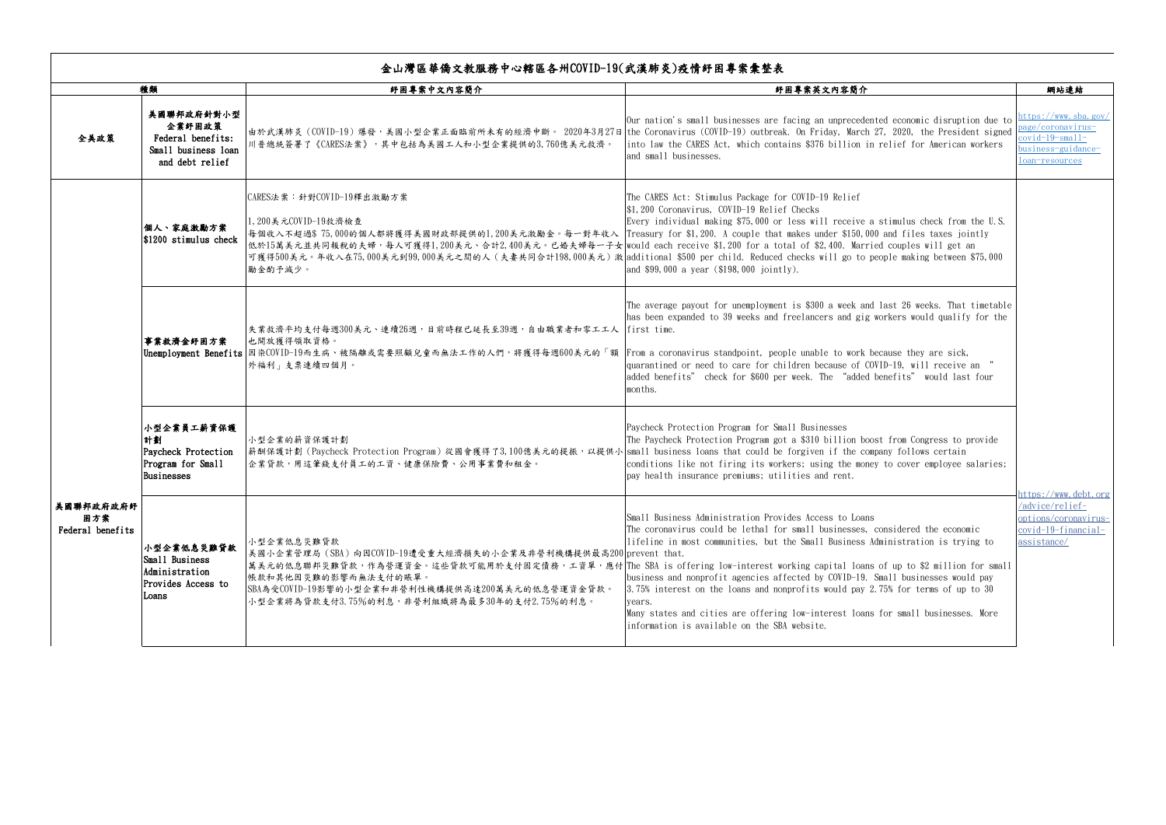|                                      | 種類                                                                                  | 紓困專案中文內容簡介                                                                                                                                                                                                                                                                                                                           | 紓困專案英文內容簡介                                                                                                                                                                                                                                                                                                                                                                                                                                                                                                                                                                                                                                                                             | 網站連結                                                                                                    |
|--------------------------------------|-------------------------------------------------------------------------------------|--------------------------------------------------------------------------------------------------------------------------------------------------------------------------------------------------------------------------------------------------------------------------------------------------------------------------------------|----------------------------------------------------------------------------------------------------------------------------------------------------------------------------------------------------------------------------------------------------------------------------------------------------------------------------------------------------------------------------------------------------------------------------------------------------------------------------------------------------------------------------------------------------------------------------------------------------------------------------------------------------------------------------------------|---------------------------------------------------------------------------------------------------------|
| 全美政策                                 | 美國聯邦政府針對小型<br>企業紓困政策<br>Federal benefits:<br>Small business loan<br>and debt relief | 川普總統簽署了《CARES法案》,其中包括為美國工人和小型企業提供的3,760億美元救濟。                                                                                                                                                                                                                                                                                        | Our nation's small businesses are facing an unprecedented economic disruption due to<br> 由於武漢肺炎(COVID-19)爆發,美國小型企業正面臨前所未有的經濟中斷。 2020年3月27日 the Coronavirus (COVID-19) outbreak. On Friday, March 27, 2020, the President signed<br>into law the CARES Act, which contains \$376 billion in relief for American workers<br>and small businesses.                                                                                                                                                                                                                                                                                                                                        | https://www.sba.gov/<br>page/coronavirus-<br>$covid-19$ -small-<br>business-guidance-<br>loan-resources |
|                                      | 個人、家庭激勵方案<br>$ 1200$ stimulus check                                                 | CARES法案:針對COVID-19釋出激勵方案<br>1,200美元COVID-19救濟檢查<br> 每個收入不超過\$75,000的個人都將獲得美國財政部提供的1,200美元激勵金。每一對年收入  Treasury for \$1,200. A couple that makes under \$150,000 and files taxes jointly<br> 低於15萬美元並共同報稅的夫婦,每人可獲得1,200美元、合計2,400美元。已婚夫婦每一子女 would each receive \$1,200 for a total of \$2,400. Married couples will get an<br>勵金酌予減少。 | The CARES Act: Stimulus Package for COVID-19 Relief<br>\$1,200 Coronavirus, COVID-19 Relief Checks<br>Every individual making \$75,000 or less will receive a stimulus check from the U.S.<br>可獲得500美元。年收入在75,000美元到99,000美元之間的人(夫妻共同合計198,000美元)激 additional \$500 per child. Reduced checks will go to people making between \$75,000<br>and \$99,000 a year (\$198,000 jointly).                                                                                                                                                                                                                                                                                                    |                                                                                                         |
|                                      | 事業救濟金紓困方案                                                                           | 失業救濟平均支付每週300美元、連續26週,日前時程已延長至39週,自由職業者和零工工人  first time.<br>也開放獲得領取資格。<br>Unemployment Benefits 因染COVID-19而生病、被隔離或需要照顧兒童而無法工作的人們,將獲得每週600美元的「額 From a coronavirus standpoint, people unable to work because they are sick,<br>外福利」支票連續四個月。                                                                                          | The average payout for unemployment is \$300 a week and last 26 weeks. That timetable<br>has been expanded to 39 weeks and freelancers and gig workers would qualify for the<br>quarantined or need to care for children because of COVID-19, will receive an "<br>added benefits" check for \$600 per week. The "added benefits" would last four<br>months.                                                                                                                                                                                                                                                                                                                           |                                                                                                         |
| 美國聯邦政府政府紓<br>困方案<br>Federal benefits | 小型企業員工薪資保護<br>計劃<br>Paycheck Protection<br>Program for Small<br>Businesses          | 小型企業的薪資保護計劃<br> 薪酬保護計劃 (Paycheck Protection Program) 從國會獲得了3,100億美元的提振,以提供小 small business loans that could be forgiven if the company follows certain<br> 企業貸款,用這筆錢支付員工的工資、健康保險費、公用事業費和租金。                                                                                                                                          | Paycheck Protection Program for Small Businesses<br>The Paycheck Protection Program got a \$310 billion boost from Congress to provide<br>conditions like not firing its workers; using the money to cover employee salaries;<br>pay health insurance premiums; utilities and rent.                                                                                                                                                                                                                                                                                                                                                                                                    | https://www.debt.org<br>/advice/relief-<br>options/coronavirus-<br>$covid-19-financial-$<br>assistance/ |
|                                      | 小型企業低息災難貸款<br>Small Business<br>Administration<br>Provides Access to<br>Loans       | 小型企業低息災難貸款<br> 美國小企業管理局(SBA)向因COVID-19遭受重大經濟損失的小企業及非營利機構提供最高200 prevent that.<br>帳款和其他因災難的影響而無法支付的賬單。<br> SBA為受COVID-19影響的小型企業和非營利性機構提供高達200萬美元的低息營運資金貸款。<br>小型企業將為貸款支付3.75%的利息,非營利組織將為最多30年的支付2.75%的利息。                                                                                                                             | Small Business Administration Provides Access to Loans<br>The coronavirus could be lethal for small businesses, considered the economic<br>lifeline in most communities, but the Small Business Administration is trying to<br> 萬美元的低息聯邦災難貸款,作為營運資金。這些貸款可能用於支付固定債務,工資單,應付 The SBA is offering low-interest working capital loans of up to \$2 million for small<br>business and nonprofit agencies affected by COVID-19. Small businesses would pay<br>3.75% interest on the loans and nonprofits would pay 2.75% for terms of up to 30<br>vears.<br>Many states and cities are offering low-interest loans for small businesses. More<br>information is available on the SBA website. |                                                                                                         |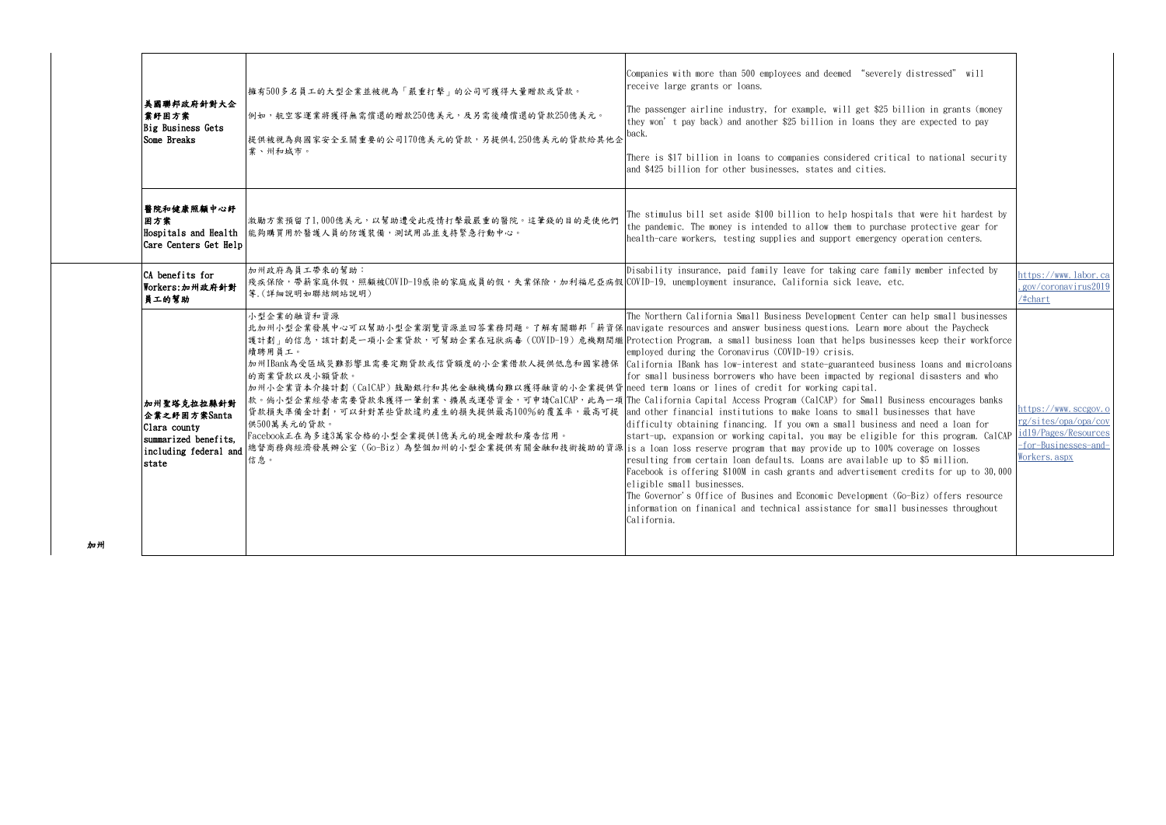| 美國聯邦政府針對大企<br>業紓困方案<br>Big Business Gets<br>Some Breaks                                              | 擁有500多名員工的大型企業並被視為「嚴重打擊」的公司可獲得大量贈款或貸款。<br>例如,航空客運業將獲得無需償還的贈款250億美元,及另需後續償還的貸款250億美元。<br>提供被視為與國家安全至關重要的公司170億美元的貸款,另提供4,250億美元的貸款給其他企<br>業、州和城市。                                                                                                                                                                                                                                                                                                                                                                                                                                                             | Companies with more than 500 employees and deemed "severely distressed" will<br>receive large grants or loans.<br>The passenger airline industry, for example, will get \$25 billion in grants (money<br>they won't pay back) and another \$25 billion in loans they are expected to pay<br>back.<br>There is \$17 billion in loans to companies considered critical to national security<br>and \$425 billion for other businesses, states and cities.                                                                                                                                                                                                                                                                                                                                                                                                                                                                                                                                                                                                                                                                                                                                                                     |                                                                                                               |
|------------------------------------------------------------------------------------------------------|--------------------------------------------------------------------------------------------------------------------------------------------------------------------------------------------------------------------------------------------------------------------------------------------------------------------------------------------------------------------------------------------------------------------------------------------------------------------------------------------------------------------------------------------------------------------------------------------------------------|-----------------------------------------------------------------------------------------------------------------------------------------------------------------------------------------------------------------------------------------------------------------------------------------------------------------------------------------------------------------------------------------------------------------------------------------------------------------------------------------------------------------------------------------------------------------------------------------------------------------------------------------------------------------------------------------------------------------------------------------------------------------------------------------------------------------------------------------------------------------------------------------------------------------------------------------------------------------------------------------------------------------------------------------------------------------------------------------------------------------------------------------------------------------------------------------------------------------------------|---------------------------------------------------------------------------------------------------------------|
| 醫院和健康照顧中心紓<br>困方案<br>Hospitals and Health<br>Care Centers Get Help                                   | 激勵方案預留了1,000億美元,以幫助遭受此疫情打擊最嚴重的醫院。這筆錢的目的是使他們<br>能夠購買用於醫護人員的防護裝備,測試用品並支持緊急行動中心。                                                                                                                                                                                                                                                                                                                                                                                                                                                                                                                                | The stimulus bill set aside \$100 billion to help hospitals that were hit hardest by<br>the pandemic. The money is intended to allow them to purchase protective gear for<br>health-care workers, testing supplies and support emergency operation centers.                                                                                                                                                                                                                                                                                                                                                                                                                                                                                                                                                                                                                                                                                                                                                                                                                                                                                                                                                                 |                                                                                                               |
| CA benefits for<br>Workers:加州政府針對<br>員工的幫助                                                           | 加州政府為員工帶來的幫助:<br>殘疾保險,帶薪家庭休假,照顧被COVID-19感染的家庭成員的假,失業保險,加利福尼亞病假 COVID-19, unemployment insurance, California sick leave, etc.<br>等. (詳細說明如聯結網站說明)                                                                                                                                                                                                                                                                                                                                                                                                                                                             | Disability insurance, paid family leave for taking care family member infected by                                                                                                                                                                                                                                                                                                                                                                                                                                                                                                                                                                                                                                                                                                                                                                                                                                                                                                                                                                                                                                                                                                                                           | https://www.labor.ca<br>.gov/coronavirus2019<br>/#chart                                                       |
| 加州聖塔克拉拉縣針對<br>企業之紓困方案Santa<br>Clara county<br>summarized benefits.<br>including federal and<br>state | 小型企業的融資和資源<br> 北加州小型企業發展中心可以幫助小型企業瀏覽資源並回答業務問題。了解有關聯邦「薪資保  navigate resources and answer business questions. Learn more about the Paycheck<br>續聘用員工。<br>的商業貸款以及小額貸款。<br>加州小企業資本介接計劃 (CalCAP) 鼓勵銀行和其他金融機構向難以獲得融資的小企業提供貸 need term loans or lines of credit for working capital.<br>貸款損失準備金計劃,可以針對某些貸款違約產生的損失提供最高100%的覆蓋率,最高可提 and other financial institutions to make loans to small businesses that have<br>供500萬美元的貸款。<br>Facebook正在為多達3萬家合格的小型企業提供1億美元的現金贈款和廣告信用。<br> 總督商務與經濟發展辦公室 (Go-Biz) 為整個加州的小型企業提供有關金融和技術援助的資源  is a loan loss reserve program that may provide up to 100% coverage on losses<br>信息。 | The Northern California Small Business Development Center can help small businesses<br>護計劃」的信息,該計劃是一項小企業貸款,可幫助企業在冠狀病毒 (COVID-19) 危機期間繼 Protection Program, a small business loan that helps businesses keep their workforce<br>employed during the Coronavirus (COVID-19) crisis.<br>加州IBank為受區域災難影響且需要定期貸款或信貸額度的小企業借款人提供低息和國家擔保  California IBank has low-interest and state-guaranteed business loans and microloans<br>for small business borrowers who have been impacted by regional disasters and who<br> 款。倘小型企業經營者需要貸款來獲得一筆創業、擴展或運營資金,可申請CalCAP,此為一項 The California Capital Access Program (CalCAP) for Small Business encourages banks<br>difficulty obtaining financing. If you own a small business and need a loan for<br>start-up, expansion or working capital, you may be eligible for this program. CalCAP<br>resulting from certain loan defaults. Loans are available up to \$5 million.<br>Facebook is offering \$100M in cash grants and advertisement credits for up to 30,000<br>eligible small businesses.<br>The Governor's Office of Busines and Economic Development (Go-Biz) offers resource<br>information on finanical and technical assistance for small businesses throughout<br>California. | https://www.sccgov.o<br>rg/sites/opa/opa/cov<br>id19/Pages/Resources<br>-for-Businesses-and-<br>Workers. aspx |
|                                                                                                      |                                                                                                                                                                                                                                                                                                                                                                                                                                                                                                                                                                                                              |                                                                                                                                                                                                                                                                                                                                                                                                                                                                                                                                                                                                                                                                                                                                                                                                                                                                                                                                                                                                                                                                                                                                                                                                                             |                                                                                                               |